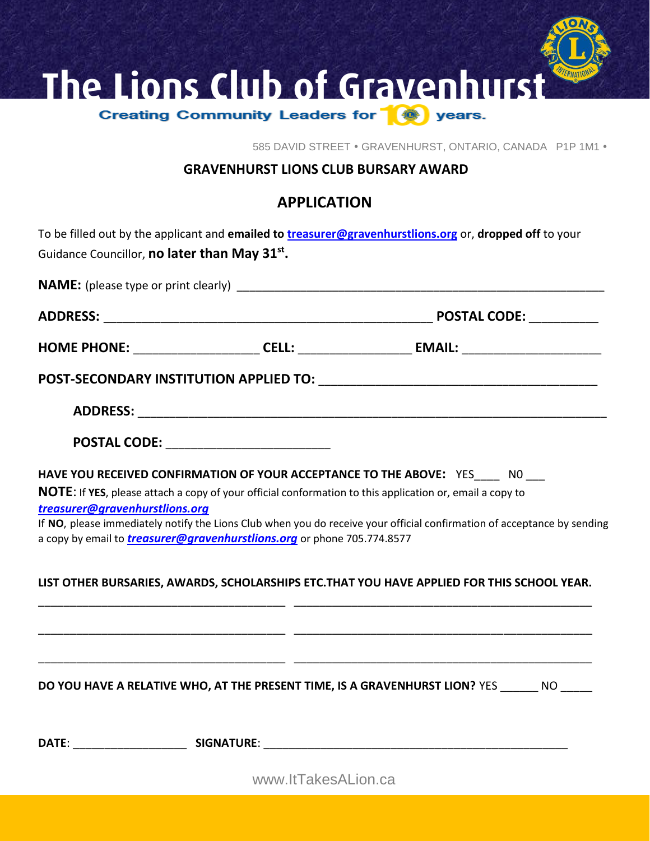

585 DAVID STREET . GRAVENHURST, ONTARIO, CANADA P1P 1M1 .

## **GRAVENHURST LIONS CLUB BURSARY AWARD**

## **APPLICATION**

|                                                           | To be filled out by the applicant and emailed to treasurer@gravenhurstlions.org or, dropped off to your                 |  |
|-----------------------------------------------------------|-------------------------------------------------------------------------------------------------------------------------|--|
| Guidance Councillor, no later than May 31 <sup>st</sup> . |                                                                                                                         |  |
|                                                           |                                                                                                                         |  |
|                                                           |                                                                                                                         |  |
|                                                           |                                                                                                                         |  |
|                                                           |                                                                                                                         |  |
|                                                           |                                                                                                                         |  |
|                                                           | POSTAL CODE: _________________________                                                                                  |  |
|                                                           | HAVE YOU RECEIVED CONFIRMATION OF YOUR ACCEPTANCE TO THE ABOVE: YES____ NO ___                                          |  |
|                                                           | NOTE: If YES, please attach a copy of your official conformation to this application or, email a copy to                |  |
| treasurer@gravenhurstlions.org                            |                                                                                                                         |  |
|                                                           | If NO, please immediately notify the Lions Club when you do receive your official confirmation of acceptance by sending |  |
|                                                           | a copy by email to <i>treasurer@gravenhurstlions.org</i> or phone 705.774.8577                                          |  |
|                                                           | LIST OTHER BURSARIES, AWARDS, SCHOLARSHIPS ETC. THAT YOU HAVE APPLIED FOR THIS SCHOOL YEAR.                             |  |
|                                                           |                                                                                                                         |  |
|                                                           | DO YOU HAVE A RELATIVE WHO, AT THE PRESENT TIME, IS A GRAVENHURST LION? YES ______ NO _____                             |  |
|                                                           |                                                                                                                         |  |
|                                                           | www.ltTakesALion.ca                                                                                                     |  |